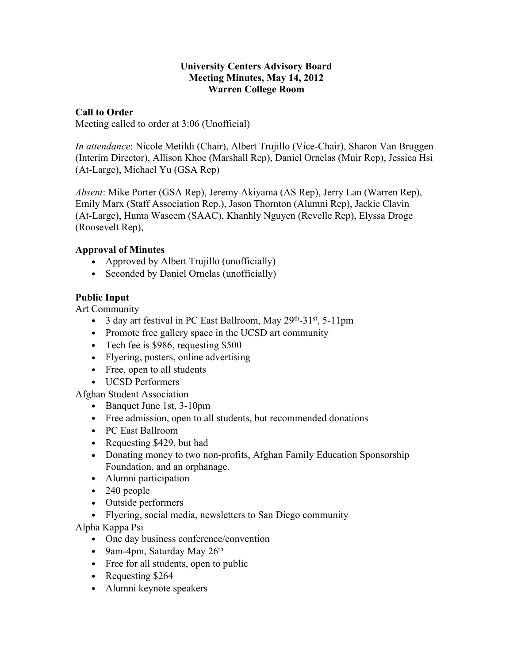#### **University Centers Advisory Board Meeting Minutes, May 14, 2012 Warren College Room**

### **Call to Order**

Meeting called to order at 3:06 (Unofficial)

*In attendance*: Nicole Metildi (Chair), Albert Trujillo (Vice-Chair), Sharon Van Bruggen (Interim Director), Allison Khoe (Marshall Rep), Daniel Ornelas (Muir Rep), Jessica Hsi (At-Large), Michael Yu (GSA Rep)

*Absent*: Mike Porter (GSA Rep), Jeremy Akiyama (AS Rep), Jerry Lan (Warren Rep), Emily Marx (Staff Association Rep.), Jason Thornton (Alumni Rep), Jackie Clavin (At-Large), Huma Waseem (SAAC), Khanhly Nguyen (Revelle Rep), Elyssa Droge (Roosevelt Rep),

#### **Approval of Minutes**

- Approved by Albert Trujillo (unofficially)
- Seconded by Daniel Ornelas (unofficially)

## **Public Input**

Art Community

- 3 day art festival in PC East Ballroom, May  $29^{th}$ -31<sup>st</sup>, 5-11pm
- Promote free gallery space in the UCSD art community
- Tech fee is \$986, requesting \$500
- Flyering, posters, online advertising
- Free, open to all students
- UCSD Performers

Afghan Student Association

- Banquet June 1st, 3-10pm
- Free admission, open to all students, but recommended donations
- PC East Ballroom
- Requesting \$429, but had
- Donating money to two non-profits, Afghan Family Education Sponsorship Foundation, and an orphanage.
- Alumni participation
- 240 people
- Outside performers
- Flyering, social media, newsletters to San Diego community

Alpha Kappa Psi

- One day business conference/convention
- 9am-4pm, Saturday May  $26<sup>th</sup>$
- Free for all students, open to public
- Requesting \$264
- Alumni keynote speakers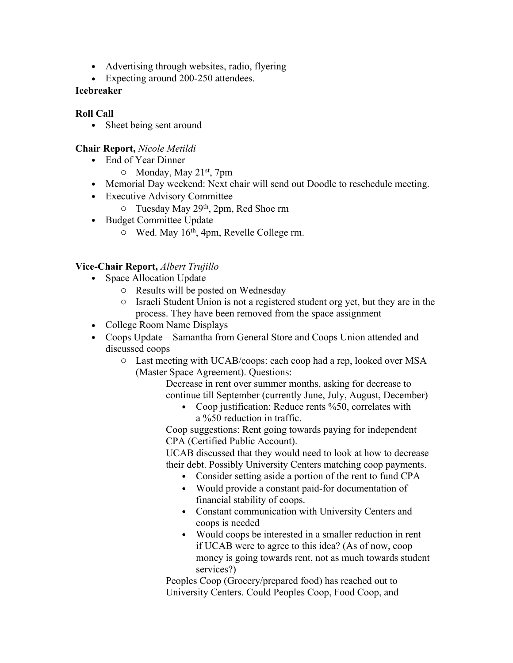- Advertising through websites, radio, flyering
- Expecting around 200-250 attendees.

# **Icebreaker**

# **Roll Call**

• Sheet being sent around

# **Chair Report,** *Nicole Metildi*

- End of Year Dinner
	- $\circ$  Monday, May 21<sup>st</sup>, 7pm
- Memorial Day weekend: Next chair will send out Doodle to reschedule meeting.
- Executive Advisory Committee
	- o Tuesday May 29th, 2pm, Red Shoe rm
- Budget Committee Update
	- $\circ$  Wed. May 16<sup>th</sup>, 4pm, Revelle College rm.

# **Vice-Chair Report,** *Albert Trujillo*

- Space Allocation Update
	- o Results will be posted on Wednesday
	- o Israeli Student Union is not a registered student org yet, but they are in the process. They have been removed from the space assignment
- College Room Name Displays
- Coops Update Samantha from General Store and Coops Union attended and discussed coops
	- o Last meeting with UCAB/coops: each coop had a rep, looked over MSA (Master Space Agreement). Questions:
		- Decrease in rent over summer months, asking for decrease to continue till September (currently June, July, August, December)
			- Coop justification: Reduce rents %50, correlates with a %50 reduction in traffic.

Coop suggestions: Rent going towards paying for independent CPA (Certified Public Account).

UCAB discussed that they would need to look at how to decrease their debt. Possibly University Centers matching coop payments.

- Consider setting aside a portion of the rent to fund CPA
- Would provide a constant paid-for documentation of financial stability of coops.
- Constant communication with University Centers and coops is needed
- Would coops be interested in a smaller reduction in rent if UCAB were to agree to this idea? (As of now, coop money is going towards rent, not as much towards student services?)

Peoples Coop (Grocery/prepared food) has reached out to University Centers. Could Peoples Coop, Food Coop, and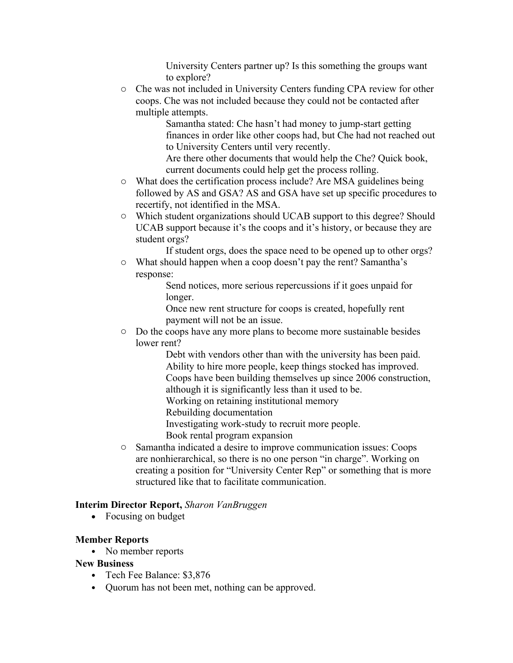University Centers partner up? Is this something the groups want to explore?

o Che was not included in University Centers funding CPA review for other coops. Che was not included because they could not be contacted after multiple attempts.

Samantha stated: Che hasn't had money to jump-start getting finances in order like other coops had, but Che had not reached out to University Centers until very recently.

Are there other documents that would help the Che? Quick book, current documents could help get the process rolling.

- o What does the certification process include? Are MSA guidelines being followed by AS and GSA? AS and GSA have set up specific procedures to recertify, not identified in the MSA.
- o Which student organizations should UCAB support to this degree? Should UCAB support because it's the coops and it's history, or because they are student orgs?

If student orgs, does the space need to be opened up to other orgs?

o What should happen when a coop doesn't pay the rent? Samantha's response:

Send notices, more serious repercussions if it goes unpaid for longer.

Once new rent structure for coops is created, hopefully rent payment will not be an issue.

o Do the coops have any more plans to become more sustainable besides lower rent?

Debt with vendors other than with the university has been paid. Ability to hire more people, keep things stocked has improved. Coops have been building themselves up since 2006 construction, although it is significantly less than it used to be.

Working on retaining institutional memory

Rebuilding documentation

Investigating work-study to recruit more people.

Book rental program expansion

o Samantha indicated a desire to improve communication issues: Coops are nonhierarchical, so there is no one person "in charge". Working on creating a position for "University Center Rep" or something that is more structured like that to facilitate communication.

## **Interim Director Report,** *Sharon VanBruggen*

• Focusing on budget

## **Member Reports**

• No member reports

# **New Business**

- Tech Fee Balance: \$3,876
- Quorum has not been met, nothing can be approved.